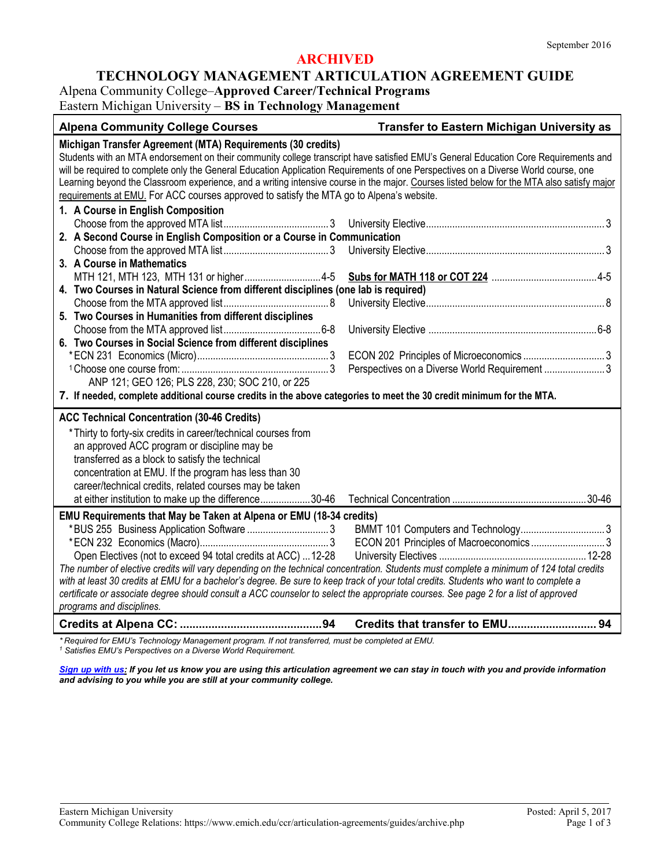### **ARCHIVED**

#### **TECHNOLOGY MANAGEMENT ARTICULATION AGREEMENT GUIDE**

Alpena Community College–**Approved Career/Technical Programs**

Eastern Michigan University – **BS in Technology Management**

| <b>Alpena Community College Courses</b>                                                                                                                                                                                                                                                                                                                                                                                                                                                                                                                                                                                   | <b>Transfer to Eastern Michigan University as</b> |  |
|---------------------------------------------------------------------------------------------------------------------------------------------------------------------------------------------------------------------------------------------------------------------------------------------------------------------------------------------------------------------------------------------------------------------------------------------------------------------------------------------------------------------------------------------------------------------------------------------------------------------------|---------------------------------------------------|--|
| Michigan Transfer Agreement (MTA) Requirements (30 credits)<br>Students with an MTA endorsement on their community college transcript have satisfied EMU's General Education Core Requirements and<br>will be required to complete only the General Education Application Requirements of one Perspectives on a Diverse World course, one<br>Learning beyond the Classroom experience, and a writing intensive course in the major. Courses listed below for the MTA also satisfy major<br>requirements at EMU. For ACC courses approved to satisfy the MTA go to Alpena's website.<br>1. A Course in English Composition |                                                   |  |
|                                                                                                                                                                                                                                                                                                                                                                                                                                                                                                                                                                                                                           |                                                   |  |
| 2. A Second Course in English Composition or a Course in Communication                                                                                                                                                                                                                                                                                                                                                                                                                                                                                                                                                    |                                                   |  |
|                                                                                                                                                                                                                                                                                                                                                                                                                                                                                                                                                                                                                           |                                                   |  |
| 3. A Course in Mathematics                                                                                                                                                                                                                                                                                                                                                                                                                                                                                                                                                                                                |                                                   |  |
|                                                                                                                                                                                                                                                                                                                                                                                                                                                                                                                                                                                                                           |                                                   |  |
| 4. Two Courses in Natural Science from different disciplines (one lab is required)                                                                                                                                                                                                                                                                                                                                                                                                                                                                                                                                        |                                                   |  |
|                                                                                                                                                                                                                                                                                                                                                                                                                                                                                                                                                                                                                           |                                                   |  |
| 5. Two Courses in Humanities from different disciplines                                                                                                                                                                                                                                                                                                                                                                                                                                                                                                                                                                   |                                                   |  |
|                                                                                                                                                                                                                                                                                                                                                                                                                                                                                                                                                                                                                           |                                                   |  |
| 6. Two Courses in Social Science from different disciplines                                                                                                                                                                                                                                                                                                                                                                                                                                                                                                                                                               |                                                   |  |
|                                                                                                                                                                                                                                                                                                                                                                                                                                                                                                                                                                                                                           | Perspectives on a Diverse World Requirement  3    |  |
| ANP 121; GEO 126; PLS 228, 230; SOC 210, or 225                                                                                                                                                                                                                                                                                                                                                                                                                                                                                                                                                                           |                                                   |  |
| 7. If needed, complete additional course credits in the above categories to meet the 30 credit minimum for the MTA.                                                                                                                                                                                                                                                                                                                                                                                                                                                                                                       |                                                   |  |
|                                                                                                                                                                                                                                                                                                                                                                                                                                                                                                                                                                                                                           |                                                   |  |
| <b>ACC Technical Concentration (30-46 Credits)</b>                                                                                                                                                                                                                                                                                                                                                                                                                                                                                                                                                                        |                                                   |  |
| * Thirty to forty-six credits in career/technical courses from                                                                                                                                                                                                                                                                                                                                                                                                                                                                                                                                                            |                                                   |  |
| an approved ACC program or discipline may be                                                                                                                                                                                                                                                                                                                                                                                                                                                                                                                                                                              |                                                   |  |
| transferred as a block to satisfy the technical                                                                                                                                                                                                                                                                                                                                                                                                                                                                                                                                                                           |                                                   |  |
| concentration at EMU. If the program has less than 30                                                                                                                                                                                                                                                                                                                                                                                                                                                                                                                                                                     |                                                   |  |
| career/technical credits, related courses may be taken                                                                                                                                                                                                                                                                                                                                                                                                                                                                                                                                                                    |                                                   |  |
| at either institution to make up the difference30-46                                                                                                                                                                                                                                                                                                                                                                                                                                                                                                                                                                      |                                                   |  |
| EMU Requirements that May be Taken at Alpena or EMU (18-34 credits)<br>Open Electives (not to exceed 94 total credits at ACC)  12-28<br>The number of elective credits will vary depending on the technical concentration. Students must complete a minimum of 124 total credits                                                                                                                                                                                                                                                                                                                                          | ECON 201 Principles of Macroeconomics  3          |  |
| with at least 30 credits at EMU for a bachelor's degree. Be sure to keep track of your total credits. Students who want to complete a<br>certificate or associate degree should consult a ACC counselor to select the appropriate courses. See page 2 for a list of approved<br>programs and disciplines.                                                                                                                                                                                                                                                                                                                 |                                                   |  |
|                                                                                                                                                                                                                                                                                                                                                                                                                                                                                                                                                                                                                           |                                                   |  |

*\* Required for EMU's Technology Management program. If not transferred, must be completed at EMU. <sup>1</sup> Satisfies EMU's Perspectives on a Diverse World Requirement.*

*[Sign up with us:](https://www.emich.edu/ccr/articulation-agreements/signup.php) If you let us know you are using this articulation agreement we can stay in touch with you and provide information and advising to you while you are still at your community college.*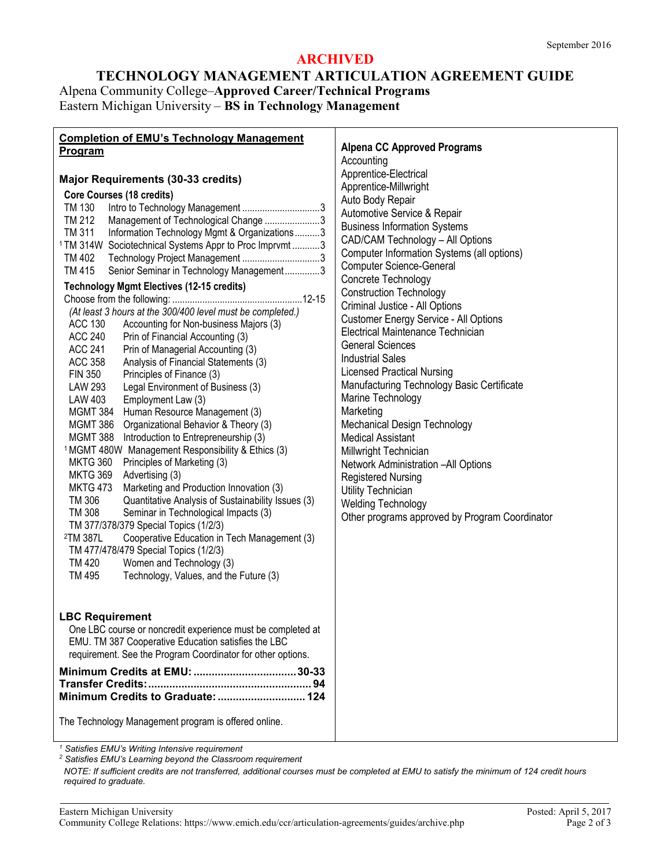## **ARCHIVED**

# **TECHNOLOGY MANAGEMENT ARTICULATION AGREEMENT GUIDE** Alpena Community College–**Approved Career/Technical Programs** Eastern Michigan University – **BS in Technology Management**

| <b>Completion of EMU's Technology Management</b>                                                                                                                                                                                                                                                                                                                                                                                                                                                                                                                                                                                                                                                                                                                                                                                                                                                                                                                                                                                                                                                                                                                                                                                                                                                                                                                                                                                                                                                                                                                                                                                                                                                                                                                                                                                                                             |                                                                                                                                                                                                                                                                                                                                                                                                                                                                                                                                                                                                                                                                                                                                                                                                                                                                                                                                     |
|------------------------------------------------------------------------------------------------------------------------------------------------------------------------------------------------------------------------------------------------------------------------------------------------------------------------------------------------------------------------------------------------------------------------------------------------------------------------------------------------------------------------------------------------------------------------------------------------------------------------------------------------------------------------------------------------------------------------------------------------------------------------------------------------------------------------------------------------------------------------------------------------------------------------------------------------------------------------------------------------------------------------------------------------------------------------------------------------------------------------------------------------------------------------------------------------------------------------------------------------------------------------------------------------------------------------------------------------------------------------------------------------------------------------------------------------------------------------------------------------------------------------------------------------------------------------------------------------------------------------------------------------------------------------------------------------------------------------------------------------------------------------------------------------------------------------------------------------------------------------------|-------------------------------------------------------------------------------------------------------------------------------------------------------------------------------------------------------------------------------------------------------------------------------------------------------------------------------------------------------------------------------------------------------------------------------------------------------------------------------------------------------------------------------------------------------------------------------------------------------------------------------------------------------------------------------------------------------------------------------------------------------------------------------------------------------------------------------------------------------------------------------------------------------------------------------------|
| <b>Program</b>                                                                                                                                                                                                                                                                                                                                                                                                                                                                                                                                                                                                                                                                                                                                                                                                                                                                                                                                                                                                                                                                                                                                                                                                                                                                                                                                                                                                                                                                                                                                                                                                                                                                                                                                                                                                                                                               |                                                                                                                                                                                                                                                                                                                                                                                                                                                                                                                                                                                                                                                                                                                                                                                                                                                                                                                                     |
| <b>Major Requirements (30-33 credits)</b><br><b>Core Courses (18 credits)</b><br>TM 130<br>TM 212<br>Management of Technological Change 3<br>Information Technology Mgmt & Organizations3<br>TM 311<br><sup>1</sup> TM 314W Sociotechnical Systems Appr to Proc Imprvmt 3<br>Technology Project Management 3<br>TM 402<br>Senior Seminar in Technology Management3<br><b>TM 415</b><br><b>Technology Mgmt Electives (12-15 credits)</b><br>(At least 3 hours at the 300/400 level must be completed.)<br><b>ACC 130</b><br>Accounting for Non-business Majors (3)<br><b>ACC 240</b><br>Prin of Financial Accounting (3)<br><b>ACC 241</b><br>Prin of Managerial Accounting (3)<br>Analysis of Financial Statements (3)<br><b>ACC 358</b><br><b>FIN 350</b><br>Principles of Finance (3)<br>LAW 293<br>Legal Environment of Business (3)<br>LAW 403<br>Employment Law (3)<br>MGMT 384 Human Resource Management (3)<br>MGMT 386 Organizational Behavior & Theory (3)<br>MGMT 388 Introduction to Entrepreneurship (3)<br><sup>1</sup> MGMT 480W Management Responsibility & Ethics (3)<br>Principles of Marketing (3)<br><b>MKTG 360</b><br>Advertising (3)<br><b>MKTG 369</b><br>Marketing and Production Innovation (3)<br><b>MKTG 473</b><br>Quantitative Analysis of Sustainability Issues (3)<br>TM 306<br><b>TM 308</b><br>Seminar in Technological Impacts (3)<br>TM 377/378/379 Special Topics (1/2/3)<br>Cooperative Education in Tech Management (3)<br><sup>2</sup> TM 387L<br>TM 477/478/479 Special Topics (1/2/3)<br>Women and Technology (3)<br>TM 420<br>TM 495<br>Technology, Values, and the Future (3)<br><b>LBC Requirement</b><br>One LBC course or noncredit experience must be completed at<br>EMU. TM 387 Cooperative Education satisfies the LBC<br>requirement. See the Program Coordinator for other options.<br>Minimum Credits to Graduate:  124 | <b>Alpena CC Approved Programs</b><br>Accounting<br>Apprentice-Electrical<br>Apprentice-Millwright<br>Auto Body Repair<br>Automotive Service & Repair<br><b>Business Information Systems</b><br>CAD/CAM Technology - All Options<br>Computer Information Systems (all options)<br><b>Computer Science-General</b><br>Concrete Technology<br><b>Construction Technology</b><br>Criminal Justice - All Options<br>Customer Energy Service - All Options<br>Electrical Maintenance Technician<br><b>General Sciences</b><br><b>Industrial Sales</b><br><b>Licensed Practical Nursing</b><br>Manufacturing Technology Basic Certificate<br>Marine Technology<br>Marketing<br>Mechanical Design Technology<br><b>Medical Assistant</b><br>Millwright Technician<br>Network Administration -All Options<br><b>Registered Nursing</b><br>Utility Technician<br><b>Welding Technology</b><br>Other programs approved by Program Coordinator |
|                                                                                                                                                                                                                                                                                                                                                                                                                                                                                                                                                                                                                                                                                                                                                                                                                                                                                                                                                                                                                                                                                                                                                                                                                                                                                                                                                                                                                                                                                                                                                                                                                                                                                                                                                                                                                                                                              |                                                                                                                                                                                                                                                                                                                                                                                                                                                                                                                                                                                                                                                                                                                                                                                                                                                                                                                                     |
| The Technology Management program is offered online.                                                                                                                                                                                                                                                                                                                                                                                                                                                                                                                                                                                                                                                                                                                                                                                                                                                                                                                                                                                                                                                                                                                                                                                                                                                                                                                                                                                                                                                                                                                                                                                                                                                                                                                                                                                                                         |                                                                                                                                                                                                                                                                                                                                                                                                                                                                                                                                                                                                                                                                                                                                                                                                                                                                                                                                     |

*<sup>1</sup> Satisfies EMU's Writing Intensive requirement*

*<sup>2</sup> Satisfies EMU's Learning beyond the Classroom requirement*

*NOTE: If sufficient credits are not transferred, additional courses must be completed at EMU to satisfy the minimum of 124 credit hours required to graduate.*